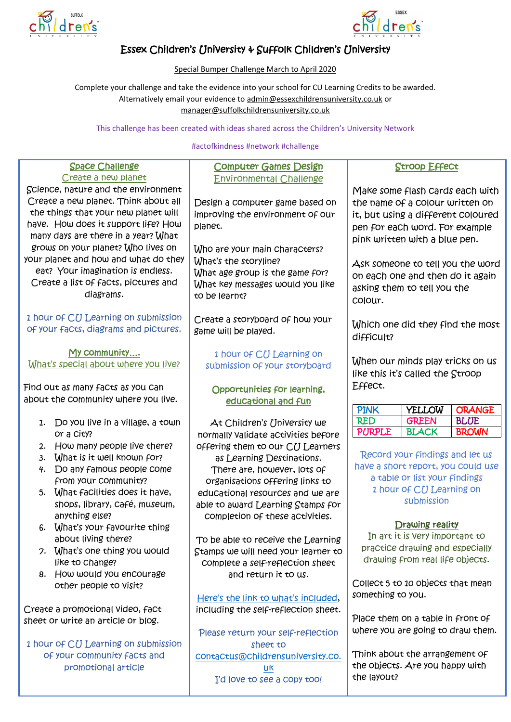



# Essex Children's University & Suffolk Children's University

Special Bumper Challenge March to April 2020

Complete your challenge and take the evidence into your school for CU Learning Credits to be awarded. Alternatively email your evidence to [admin@essexchildrensuniversity.co.uk](mailto:admin@essexchildrensuniversity.co.uk) or [manager@suffolkchildrensuniversity.co.uk](mailto:manager@suffolkchildrensuniversity.co.uk)

This challenge has been created with ideas shared across the Children's University Network

#### #actofkindness #network #challenge

| <b>Space Challenge</b>                | <b>Computer Games Design</b>         | <b>Stroop Effect</b>                          |
|---------------------------------------|--------------------------------------|-----------------------------------------------|
| Create a new planet                   | <b>Environmental Challenge</b>       |                                               |
| Science, nature and the environment   |                                      | Make some flash Cards each with               |
| Create a new planet. Think about all  | Design a computer game based on      | the name of a colour written on               |
| the things that your new planet will  | improving the environment of our     | it, but using a different coloured            |
| have. How does it support life? How   | planet.                              | pen for each word. For example                |
| many days are there in a year? What   |                                      | pink written with a blue pen.                 |
| grows on your planet? Who lives on    | Who are your main characters?        |                                               |
| your planet and how and what do they  | What's the storyline?                | Ask someone to tell you the word              |
| eat? Your imagination is endless.     | What age group is the game for?      | on each one and then do it again              |
| Create a list of facts, pictures and  | What key messages would you like     |                                               |
| diagrams.                             | to be learnt?                        | asking them to tell you the                   |
|                                       |                                      | Colour.                                       |
| 1 hour of CU Learning on submission   | Create a storyboard of how your      |                                               |
| of your facts, diagrams and pictures. | game will be played.                 | Which one did they find the most              |
|                                       |                                      | difficult?                                    |
| <u>My community</u>                   | 1 hour of CU Learning on             |                                               |
| What's special about where you live?  | submission of your storyboard        | When our minds play tricks on us              |
|                                       |                                      | like this it's called the Stroop              |
| Find out as many facts as you can     | Opportunities for learning,          | Effect.                                       |
| about the community where you live.   | educational and fun                  |                                               |
|                                       |                                      | <b>PINK</b><br>YELLOW<br><b>ORANGE</b>        |
| 1. Do you live in a village, a town   | At Children's University we          | <b>RED</b><br><b>GREEN</b><br><b>BLUE</b>     |
| or a City?                            | normally validate activities before  | <b>PURPLE</b><br><b>BLACK</b><br><b>BROWN</b> |
| 2. How many people live there?        | offering them to our CU Learners     |                                               |
| What is it well known for?<br>3.      | as Learning Destinations.            | Record your findings and let us               |
| Do any famous people come<br>4.       | There are, however, lots of          | have a short report, you could use            |
| from your community?                  | organisations offering links to      | a table or list your findings                 |
| 5. What facilities does it have,      | educational resources and we are     | 1 hour of CU Learning on                      |
| shops, library, Café, museum,         | able to award Learning Stamps for    | submission                                    |
| anything else?                        | completion of these activities.      |                                               |
| 6. What's your favourite thing        |                                      | Drawing reality                               |
| about living there?                   | To be able to receive the Learning   | In art it is very important to                |
| 7. What's one thing you would         | Stamps we will need your learner to  | practice drawing and especially               |
| like to Change?                       | complete a self-reflection sheet     | drawing from real life objects.               |
| 8. How would you encourage            | and return it to us.                 |                                               |
| other people to Visit?                |                                      | Collect 5 to 10 objects that mean             |
|                                       | Here's the link to what's included,  | something to you.                             |
| Create a promotional video, fact      | including the self-reflection sheet. |                                               |
| sheet or write an article or blog.    |                                      | Place them on a table in front of             |
|                                       | Please return your self-reflection   | where you are going to draw them.             |
| 1 hour of CU Learning on submission   | sheet to                             |                                               |
| of your community facts and           | contactus@childrensuniversity.co.    | Think about the arrangement of                |
| promotional article                   | uk                                   | the objects. Are you happy with               |
|                                       | I'd love to see a conv tool          | the layout?                                   |

I'd love to see a copy too!